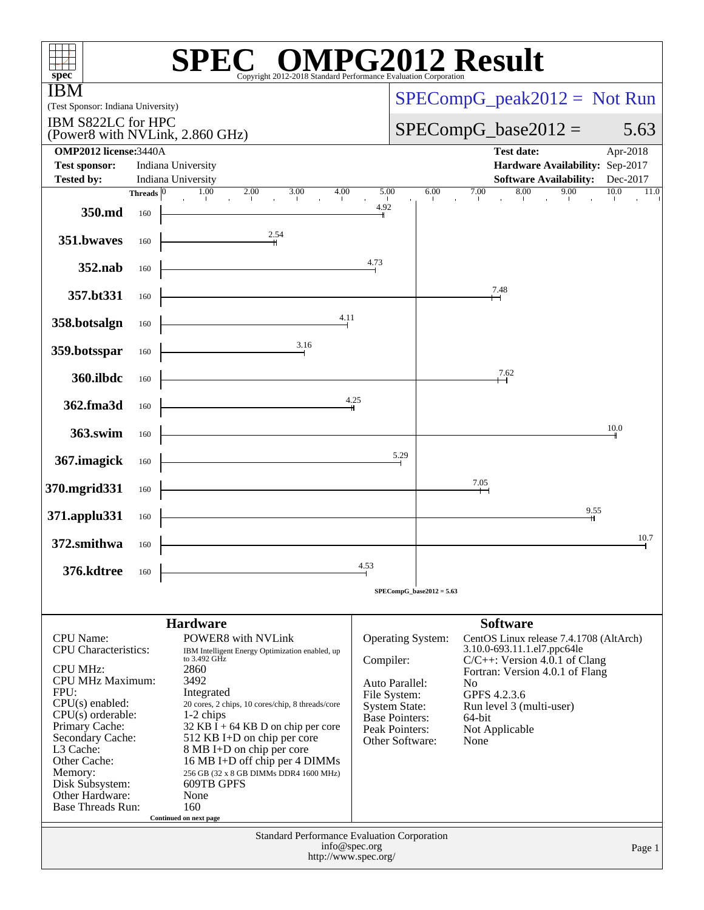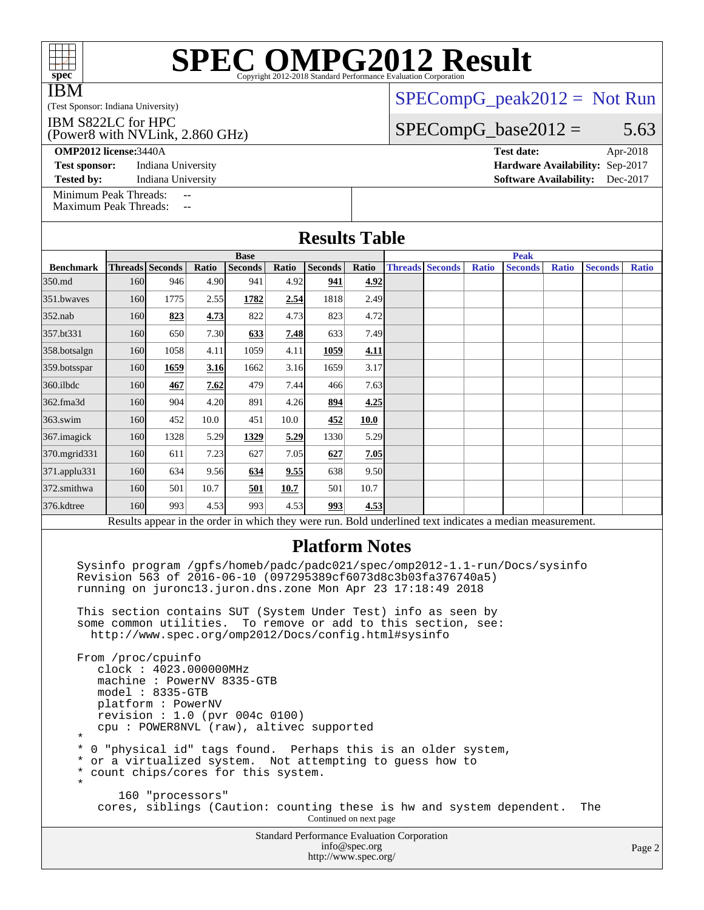| <b>IBM</b><br>(Test Sponsor: Indiana University)                                                                                                                                                                                                                                                                                                                                                    |                                                                                      |                  |      |                                    |      |                                             |               |                                       | $SPECompG_peak2012 = Not Run$ |              |                                                                                                          |              |                |              |  |
|-----------------------------------------------------------------------------------------------------------------------------------------------------------------------------------------------------------------------------------------------------------------------------------------------------------------------------------------------------------------------------------------------------|--------------------------------------------------------------------------------------|------------------|------|------------------------------------|------|---------------------------------------------|---------------|---------------------------------------|-------------------------------|--------------|----------------------------------------------------------------------------------------------------------|--------------|----------------|--------------|--|
| IBM S822LC for HPC<br>(Power8 with NVLink, 2.860 GHz)                                                                                                                                                                                                                                                                                                                                               |                                                                                      |                  |      |                                    |      |                                             |               |                                       |                               |              | $SPECompG_base2012 =$                                                                                    |              |                | 5.63         |  |
| <b>OMP2012 license: 3440A</b><br><b>Test date:</b><br>Apr-2018<br><b>Test sponsor:</b><br>Indiana University<br>Hardware Availability: Sep-2017<br>Indiana University<br><b>Software Availability:</b><br>Dec-2017<br><b>Tested by:</b>                                                                                                                                                             |                                                                                      |                  |      |                                    |      |                                             |               |                                       |                               |              |                                                                                                          |              |                |              |  |
| Minimum Peak Threads:<br><b>Maximum Peak Threads:</b>                                                                                                                                                                                                                                                                                                                                               |                                                                                      |                  |      |                                    |      |                                             |               |                                       |                               |              |                                                                                                          |              |                |              |  |
|                                                                                                                                                                                                                                                                                                                                                                                                     |                                                                                      |                  |      |                                    |      | <b>Results Table</b>                        |               |                                       |                               |              |                                                                                                          |              |                |              |  |
|                                                                                                                                                                                                                                                                                                                                                                                                     | <b>Base</b><br>Threads Seconds<br>Ratio<br><b>Seconds</b><br>Ratio<br><b>Seconds</b> |                  |      |                                    |      |                                             | Ratio         | <b>Peak</b><br><b>Threads Seconds</b> |                               |              |                                                                                                          |              |                |              |  |
| <b>Benchmark</b><br>350.md                                                                                                                                                                                                                                                                                                                                                                          | 160                                                                                  | 946              | 4.90 | 941                                | 4.92 | 941                                         | 4.92          |                                       |                               | <b>Ratio</b> | <b>Seconds</b>                                                                                           | <b>Ratio</b> | <b>Seconds</b> | <b>Ratio</b> |  |
| 351.bwayes                                                                                                                                                                                                                                                                                                                                                                                          | 160                                                                                  | 1775             | 2.55 | 1782                               | 2.54 | 1818                                        | 2.49          |                                       |                               |              |                                                                                                          |              |                |              |  |
| $352$ .nab                                                                                                                                                                                                                                                                                                                                                                                          | 160                                                                                  | 823              | 4.73 | 822                                | 4.73 | 823                                         | 4.72          |                                       |                               |              |                                                                                                          |              |                |              |  |
| 357.bt331                                                                                                                                                                                                                                                                                                                                                                                           | 160                                                                                  | 650              | 7.30 | 633                                | 7.48 | 633                                         | 7.49          |                                       |                               |              |                                                                                                          |              |                |              |  |
| 358.botsalgn                                                                                                                                                                                                                                                                                                                                                                                        | 160                                                                                  | 1058             | 4.11 | 1059                               | 4.11 | 1059                                        | 4.11          |                                       |                               |              |                                                                                                          |              |                |              |  |
| 359.botsspar                                                                                                                                                                                                                                                                                                                                                                                        | 160                                                                                  | 1659             | 3.16 | 1662                               | 3.16 | 1659                                        | 3.17          |                                       |                               |              |                                                                                                          |              |                |              |  |
| 360.ilbdc                                                                                                                                                                                                                                                                                                                                                                                           | 160                                                                                  | 467              | 7.62 | 479                                | 7.44 | 466                                         | 7.63          |                                       |                               |              |                                                                                                          |              |                |              |  |
| 362.fma3d                                                                                                                                                                                                                                                                                                                                                                                           | 160                                                                                  | 904              | 4.20 | 891                                | 4.26 | 894                                         | 4.25          |                                       |                               |              |                                                                                                          |              |                |              |  |
| 363.swim                                                                                                                                                                                                                                                                                                                                                                                            | 160                                                                                  | 452              | 10.0 | 451                                | 10.0 | 452                                         | 10.0          |                                       |                               |              |                                                                                                          |              |                |              |  |
| 367. imagick                                                                                                                                                                                                                                                                                                                                                                                        | 160                                                                                  | 1328             | 5.29 | 1329                               | 5.29 | 1330                                        | 5.29          |                                       |                               |              |                                                                                                          |              |                |              |  |
| 370.mgrid331                                                                                                                                                                                                                                                                                                                                                                                        | 160                                                                                  | 611              | 7.23 | 627                                | 7.05 | 627                                         | 7.05          |                                       |                               |              |                                                                                                          |              |                |              |  |
| 371.applu331                                                                                                                                                                                                                                                                                                                                                                                        | 160                                                                                  | 634              | 9.56 | 634                                | 9.55 | 638                                         | 9.50          |                                       |                               |              |                                                                                                          |              |                |              |  |
| 372.smithwa                                                                                                                                                                                                                                                                                                                                                                                         | 160                                                                                  | 501              | 10.7 | 501                                | 10.7 | 501                                         | 10.7          |                                       |                               |              |                                                                                                          |              |                |              |  |
| 376.kdtree                                                                                                                                                                                                                                                                                                                                                                                          | 160                                                                                  | 993              | 4.53 | 993                                | 4.53 | 993                                         | 4.53          |                                       |                               |              |                                                                                                          |              |                |              |  |
|                                                                                                                                                                                                                                                                                                                                                                                                     |                                                                                      |                  |      |                                    |      |                                             |               |                                       |                               |              | Results appear in the order in which they were run. Bold underlined text indicates a median measurement. |              |                |              |  |
| <b>Platform Notes</b><br>Sysinfo program /gpfs/homeb/padc/padc021/spec/omp2012-1.1-run/Docs/sysinfo<br>Revision 563 of 2016-06-10 (097295389cf6073d8c3b03fa376740a5)<br>running on juronc13.juron.dns.zone Mon Apr 23 17:18:49 2018<br>This section contains SUT (System Under Test) info as seen by<br>some common utilities. To remove or add to this section, see:                               |                                                                                      |                  |      |                                    |      |                                             |               |                                       |                               |              |                                                                                                          |              |                |              |  |
| http://www.spec.org/omp2012/Docs/config.html#sysinfo<br>From /proc/cpuinfo<br>clock: 4023.000000MHz<br>machine: PowerNV 8335-GTB<br>$model: 8335-GTB$<br>platform: PowerNV<br>revision : 1.0 (pvr 004c 0100)<br>cpu: POWER8NVL (raw), altivec supported<br>$^\star$<br>0 "physical id" tags found. Perhaps this is an older system,<br>*<br>or a virtualized system. Not attempting to guess how to |                                                                                      |                  |      |                                    |      |                                             |               |                                       |                               |              |                                                                                                          |              |                |              |  |
| $\ast$<br>*<br>$\star$                                                                                                                                                                                                                                                                                                                                                                              |                                                                                      | 160 "processors" |      | count chips/cores for this system. |      | Continued on next page                      |               |                                       |                               |              | cores, siblings (Caution: counting these is hw and system dependent.                                     |              | The            |              |  |
|                                                                                                                                                                                                                                                                                                                                                                                                     |                                                                                      |                  |      |                                    |      | Standard Performance Evaluation Corporation | info@spec.org |                                       |                               |              |                                                                                                          |              |                | Page 2       |  |

<http://www.spec.org/>

#### Page 2

**[SPEC OMPG2012 Result](http://www.spec.org/auto/omp2012/Docs/result-fields.html#SPECOMPG2012Result)** 

spec<sup>®</sup>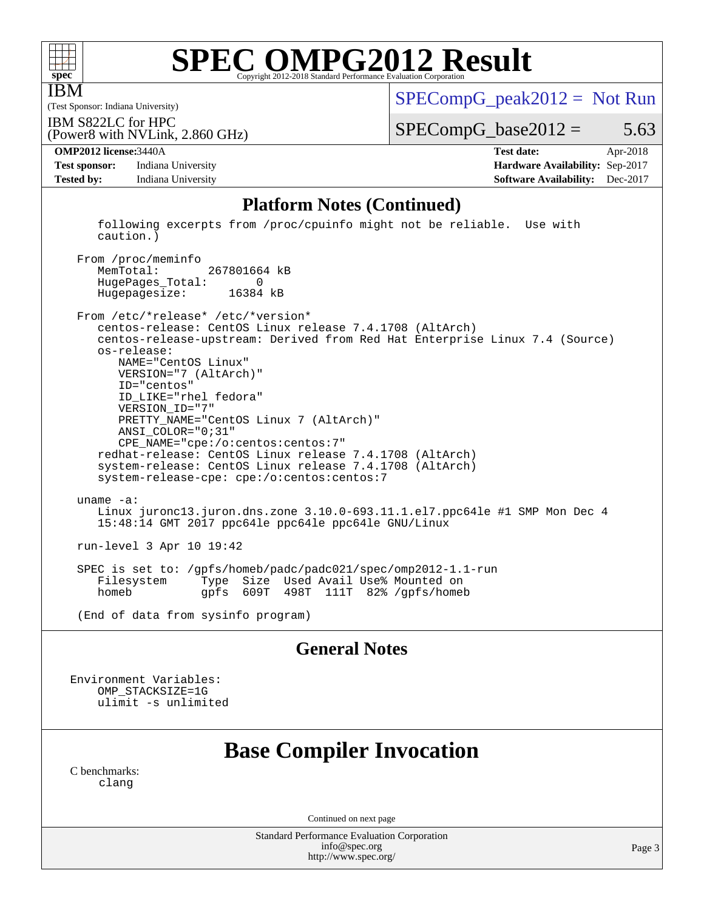

IBM

# **[SPEC OMPG2012 Result](http://www.spec.org/auto/omp2012/Docs/result-fields.html#SPECOMPG2012Result)**

(Test Sponsor: Indiana University)

 $SPECompG_peak2012 = Not Run$  $SPECompG_peak2012 = Not Run$ 

IBM S822LC for HPC

 $SPECompG_base2012 = 5.63$  $SPECompG_base2012 = 5.63$ 

**[Test sponsor:](http://www.spec.org/auto/omp2012/Docs/result-fields.html#Testsponsor)** Indiana University **[Hardware Availability:](http://www.spec.org/auto/omp2012/Docs/result-fields.html#HardwareAvailability)** Sep-2017 **[Tested by:](http://www.spec.org/auto/omp2012/Docs/result-fields.html#Testedby)** Indiana University **[Software Availability:](http://www.spec.org/auto/omp2012/Docs/result-fields.html#SoftwareAvailability)** Dec-2017

(Power8 with NVLink, 2.860 GHz)

**[OMP2012 license:](http://www.spec.org/auto/omp2012/Docs/result-fields.html#OMP2012license)**3440A **[Test date:](http://www.spec.org/auto/omp2012/Docs/result-fields.html#Testdate)** Apr-2018

#### **[Platform Notes \(Continued\)](http://www.spec.org/auto/omp2012/Docs/result-fields.html#PlatformNotes)**

 following excerpts from /proc/cpuinfo might not be reliable. Use with caution.)

From /proc/meminfo<br>MemTotal: 267801664 kB HugePages\_Total: 0 Hugepagesize: 16384 kB

 From /etc/\*release\* /etc/\*version\* centos-release: CentOS Linux release 7.4.1708 (AltArch) centos-release-upstream: Derived from Red Hat Enterprise Linux 7.4 (Source) os-release: NAME="CentOS Linux" VERSION="7 (AltArch)" ID="centos" ID\_LIKE="rhel fedora" VERSION\_ID="7" PRETTY\_NAME="CentOS Linux 7 (AltArch)" ANSI\_COLOR="0;31" CPE\_NAME="cpe:/o:centos:centos:7" redhat-release: CentOS Linux release 7.4.1708 (AltArch) system-release: CentOS Linux release 7.4.1708 (AltArch) system-release-cpe: cpe:/o:centos:centos:7 uname -a: Linux juronc13.juron.dns.zone 3.10.0-693.11.1.el7.ppc64le #1 SMP Mon Dec 4 15:48:14 GMT 2017 ppc64le ppc64le ppc64le GNU/Linux run-level 3 Apr 10 19:42 SPEC is set to: /gpfs/homeb/padc/padc021/spec/omp2012-1.1-run Type Size Used Avail Use% Mounted on

homeb gpfs 609T 498T 111T 82% /gpfs/homeb

(End of data from sysinfo program)

#### **[General Notes](http://www.spec.org/auto/omp2012/Docs/result-fields.html#GeneralNotes)**

Environment Variables: OMP\_STACKSIZE=1G ulimit -s unlimited

## **[Base Compiler Invocation](http://www.spec.org/auto/omp2012/Docs/result-fields.html#BaseCompilerInvocation)**

[C benchmarks](http://www.spec.org/auto/omp2012/Docs/result-fields.html#Cbenchmarks): [clang](http://www.spec.org/omp2012/results/res2018q2/omp2012-20180605-00143.flags.html#user_CCbase_clang_2c5517db7bc397f9b14ae357a7ce54ff)

Continued on next page

Standard Performance Evaluation Corporation [info@spec.org](mailto:info@spec.org) <http://www.spec.org/>

Page 3